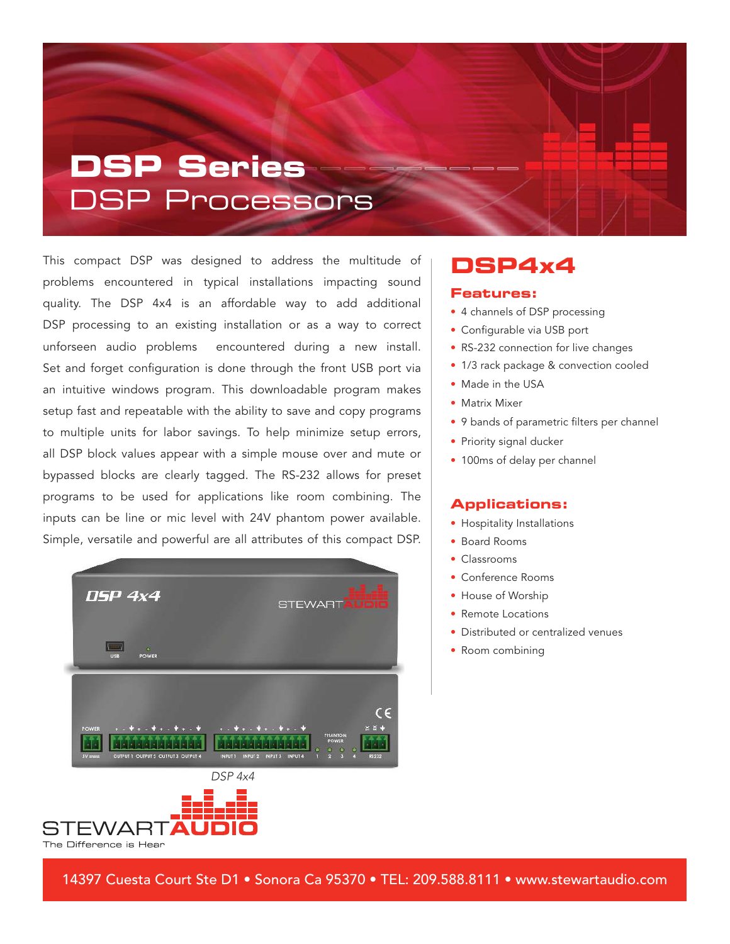# **DSP Series** DSP Processors

This compact DSP was designed to address the multitude of problems encountered in typical installations impacting sound quality. The DSP 4x4 is an affordable way to add additional DSP processing to an existing installation or as a way to correct unforseen audio problems encountered during a new install. Set and forget configuration is done through the front USB port via an intuitive windows program. This downloadable program makes setup fast and repeatable with the ability to save and copy programs to multiple units for labor savings. To help minimize setup errors, all DSP block values appear with a simple mouse over and mute or bypassed blocks are clearly tagged. The RS-232 allows for preset programs to be used for applications like room combining. The inputs can be line or mic level with 24V phantom power available. Simple, versatile and powerful are all attributes of this compact DSP.





### **DSP4x4**

#### **Features:**

- 4 channels of DSP processing
- Configurable via USB port
- RS-232 connection for live changes
- 1/3 rack package & convection cooled
- Made in the USA
- Matrix Mixer
- 9 bands of parametric filters per channel
- Priority signal ducker
- 100ms of delay per channel

#### **Applications:**

- Hospitality Installations
- Board Rooms
- Classrooms
- Conference Rooms
- House of Worship
- Remote Locations
- Distributed or centralized venues
- Room combining